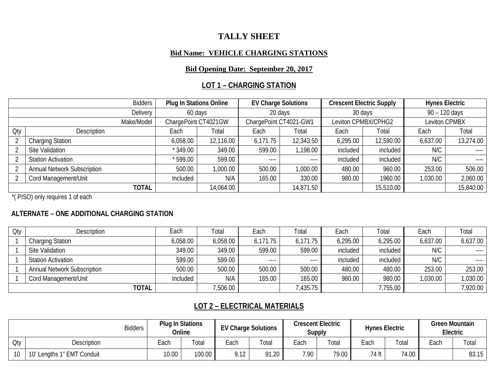# **TALLY SHEET**

#### **Bid Name: VEHICLE CHARGING STATIONS**

#### **Bid Opening Date: September 20, 2017**

## **LOT 1 – CHARGING STATION**

| <b>Bidders</b> |                                    |                      | <b>Plug In Stations Online</b> |          | <b>EV Charge Solutions</b> |          | <b>Crescent Electric Supply</b> | <b>Hynes Electric</b> |             |
|----------------|------------------------------------|----------------------|--------------------------------|----------|----------------------------|----------|---------------------------------|-----------------------|-------------|
| Delivery       |                                    | 60 days              |                                |          | 20 days                    |          | 30 days                         | 90 - 120 days         |             |
| Make/Model     |                                    | ChargePoint CT4021GW |                                |          | ChargePoint CT4021-GW1     |          | Leviton CPMBX/CPHG2             | Leviton CPMBX         |             |
| Oty            | Description                        | Each                 | Total                          |          | Total                      | Each     | Total                           | Each                  | Total       |
|                | <b>Charging Station</b>            | 6,058.00             | 12,116.00                      | 6,171.75 | 12,343.50                  | 6,295.00 | 12,590.00                       | 6,637.00              | 13,274.00   |
|                | Site Validation                    | $*349.00$            | 349.00                         | 599.00   | 1,198.00                   | included | included                        | N/C                   | $- - - - -$ |
|                | <b>Station Activation</b>          | $*599.00$            | 599.00                         | -----    | $---$                      | included | included                        | N/C                   | $---$       |
|                | <b>Annual Network Subscription</b> | 500.00               | 1,000.00                       | 500.00   | 1,000.00                   | 480.00   | 960.00                          | 253.00                | 506.00      |
|                | Cord Management/Unit               | Included             | N/A                            | 165.00   | 330.00                     | 980.00   | 1960.00                         | 1,030.00              | 2,060.00    |
|                | <b>TOTAL</b>                       |                      | 14,064.00                      |          | 14,871.50                  |          | 15,510.00                       |                       | 15,840.00   |

\*( PISO) only requires 1 of each

### **ALTERNATE – ONE ADDITIONAL CHARGING STATION**

| Oty | Description                        | Each     | Total    | Each     | Total    | Each     | Total    | Each     | Total    |
|-----|------------------------------------|----------|----------|----------|----------|----------|----------|----------|----------|
|     | <b>Charging Station</b>            | 6,058.00 | 6,058.00 | 6,171.75 | 6,171.75 | 6,295.00 | 6,295.00 | 6,637.00 | 6,637.00 |
|     | Site Validation                    | 349.00   | 349.00   | 599.00   | 599.00   | included | included | N/C      | $---$    |
|     | <b>Station Activation</b>          | 599.00   | 599.00   | $---$    | $---$    | included | included | N/C      | $---$    |
|     | <b>Annual Network Subscription</b> | 500.00   | 500.00   | 500.00   | 500.00   | 480.00   | 480.00   | 253.00   | 253.00   |
|     | Cord Management/Unit               | Included | N/A      | 165.00   | 165.00   | 980.00   | 980.00   | 1,030.00 | 1,030.00 |
|     | <b>TOTAL</b>                       |          | 7,506.00 |          | 7,435.75 |          | 755.00   |          | 7,920.00 |

# **LOT 2 – ELECTRICAL MATERIALS**

|     | <b>Bidders</b>                |       | <b>Plug In Stations</b><br>Online | <b>EV Charge Solutions</b> |                       | <b>Crescent Electric</b><br><b>Supply</b> |             | <b>Hynes Electric</b> |       | <b>Green Mountain</b><br>Electric |       |
|-----|-------------------------------|-------|-----------------------------------|----------------------------|-----------------------|-------------------------------------------|-------------|-----------------------|-------|-----------------------------------|-------|
| Oty | <b>Description</b>            | ≟ach  | Total                             | Each                       | $\tau$ <sub>ota</sub> | Each                                      | $\tau$ otal | Each                  | Total | Each                              | Total |
| 10  | Lengths 1" EMT Conduit<br>10' | 10.00 | 100.00                            | 9.12                       | 91.20                 | 7.90                                      | 79.00       | 74 ft                 | 74.00 |                                   | 83.15 |